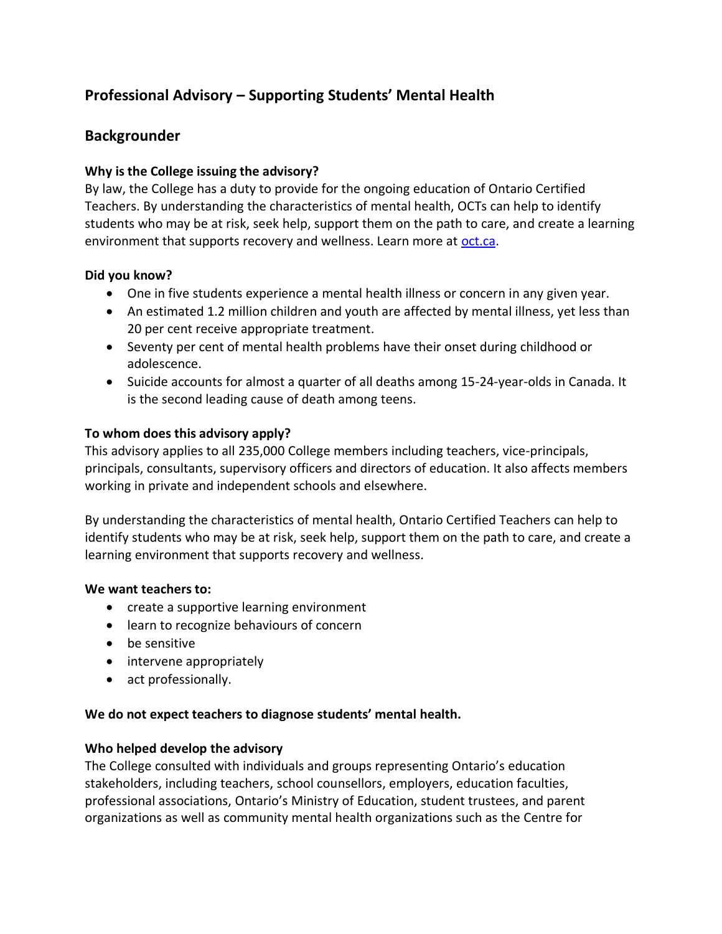# **Professional Advisory – Supporting Students' Mental Health**

## **Backgrounder**

## **Why is the College issuing the advisory?**

By law, the College has a duty to provide for the ongoing education of Ontario Certified Teachers. By understanding the characteristics of mental health, OCTs can help to identify students who may be at risk, seek help, support them on the path to care, and create a learning environment that supports recovery and wellness. Learn more at [oct.ca.](https://www.oct.ca/resources/advisories/mental-health?sc_lang=en&)

## **Did you know?**

- One in five students experience a mental health illness or concern in any given year.
- An estimated 1.2 million children and youth are affected by mental illness, yet less than 20 per cent receive appropriate treatment.
- Seventy per cent of mental health problems have their onset during childhood or adolescence.
- Suicide accounts for almost a quarter of all deaths among 15-24-year-olds in Canada. It is the second leading cause of death among teens.

## **To whom does this advisory apply?**

This advisory applies to all 235,000 College members including teachers, vice-principals, principals, consultants, supervisory officers and directors of education. It also affects members working in private and independent schools and elsewhere.

By understanding the characteristics of mental health, Ontario Certified Teachers can help to identify students who may be at risk, seek help, support them on the path to care, and create a learning environment that supports recovery and wellness.

#### **We want teachers to:**

- create a supportive learning environment
- learn to recognize behaviours of concern
- be sensitive
- intervene appropriately
- act professionally.

#### **We do not expect teachers to diagnose students' mental health.**

#### **Who helped develop the advisory**

The College consulted with individuals and groups representing Ontario's education stakeholders, including teachers, school counsellors, employers, education faculties, professional associations, Ontario's Ministry of Education, student trustees, and parent organizations as well as community mental health organizations such as the Centre for